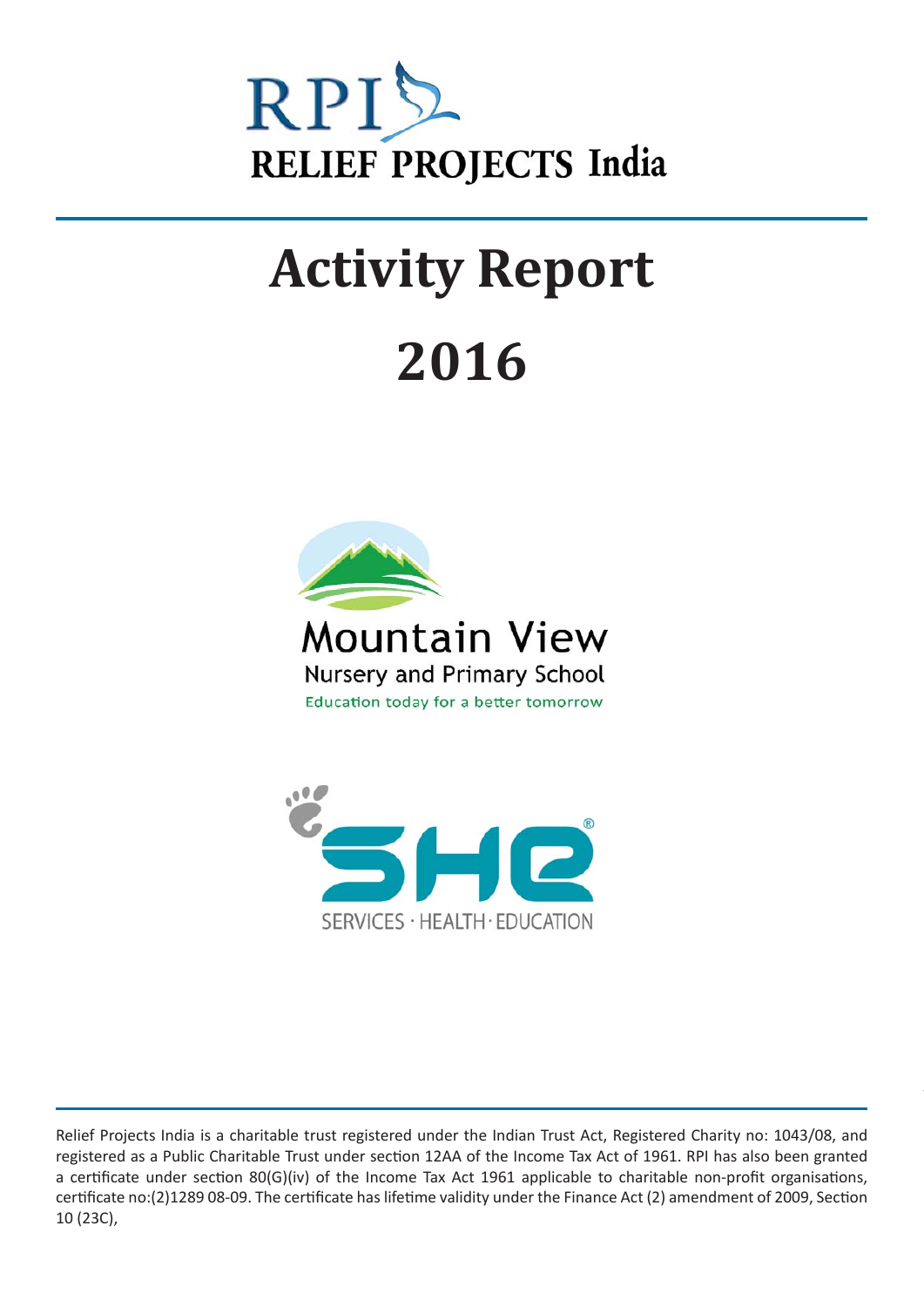

# **Activity Report 2016**





Relief Projects India is a charitable trust registered under the Indian Trust Act, Registered Charity no: 1043/08, and registered as a Public Charitable Trust under section 12AA of the Income Tax Act of 1961. RPI has also been granted a certificate under section 80(G)(iv) of the Income Tax Act 1961 applicable to charitable non-profit organisations, certificate no:(2)1289 08-09. The certificate has lifetime validity under the Finance Act (2) amendment of 2009, Section 10 (23C),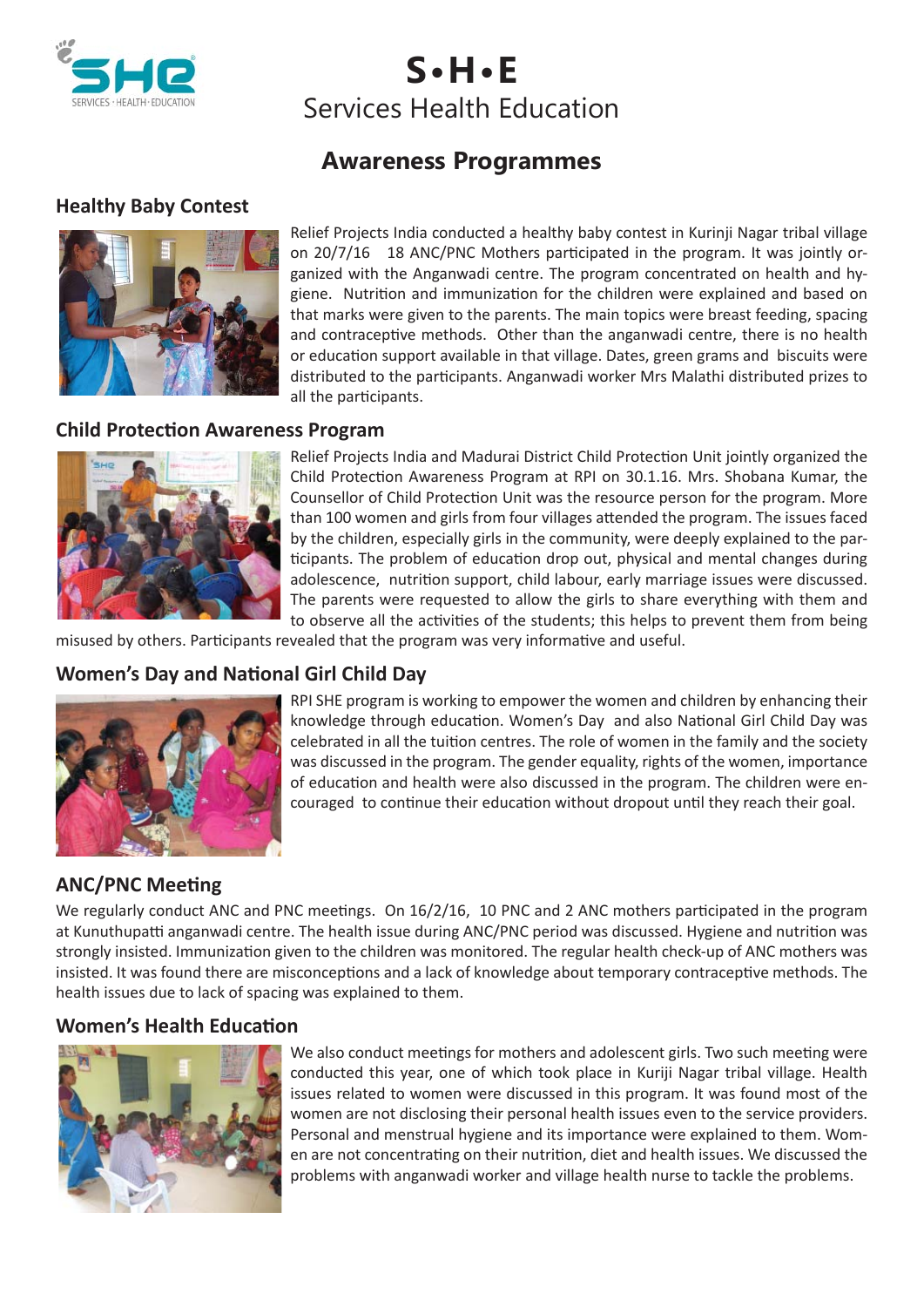

**S•H•E** Services Health Education

# **Awareness Programmes**

# **Healthy Baby Contest**



Relief Projects India conducted a healthy baby contest in Kurinji Nagar tribal village on 20/7/16 18 ANC/PNC Mothers participated in the program. It was jointly organized with the Anganwadi centre. The program concentrated on health and hygiene. Nutrition and immunization for the children were explained and based on that marks were given to the parents. The main topics were breast feeding, spacing and contraceptive methods. Other than the anganwadi centre, there is no health or education support available in that village. Dates, green grams and biscuits were distributed to the participants. Anganwadi worker Mrs Malathi distributed prizes to all the participants.

#### **Child Protection Awareness Program**



Relief Projects India and Madurai District Child Protection Unit jointly organized the Child Protection Awareness Program at RPI on 30.1.16. Mrs. Shobana Kumar, the Counsellor of Child Protection Unit was the resource person for the program. More than 100 women and girls from four villages attended the program. The issues faced by the children, especially girls in the community, were deeply explained to the participants. The problem of education drop out, physical and mental changes during adolescence, nutrition support, child labour, early marriage issues were discussed. The parents were requested to allow the girls to share everything with them and to observe all the activities of the students; this helps to prevent them from being

misused by others. Participants revealed that the program was very informative and useful.

# **Women's Day and National Girl Child Day**



RPI SHE program is working to empower the women and children by enhancing their knowledge through education. Women's Day and also National Girl Child Day was celebrated in all the tuition centres. The role of women in the family and the society was discussed in the program. The gender equality, rights of the women, importance of education and health were also discussed in the program. The children were encouraged to continue their education without dropout until they reach their goal.

# **ANC/PNC Meeting**

We regularly conduct ANC and PNC meetings. On 16/2/16, 10 PNC and 2 ANC mothers participated in the program at Kunuthupatti anganwadi centre. The health issue during ANC/PNC period was discussed. Hygiene and nutrition was strongly insisted. Immunization given to the children was monitored. The regular health check-up of ANC mothers was insisted. It was found there are misconceptions and a lack of knowledge about temporary contraceptive methods. The health issues due to lack of spacing was explained to them.

#### **Women's Health Education**



We also conduct meetings for mothers and adolescent girls. Two such meeting were conducted this year, one of which took place in Kuriji Nagar tribal village. Health issues related to women were discussed in this program. It was found most of the women are not disclosing their personal health issues even to the service providers. Personal and menstrual hygiene and its importance were explained to them. Women are not concentrating on their nutrition, diet and health issues. We discussed the problems with anganwadi worker and village health nurse to tackle the problems.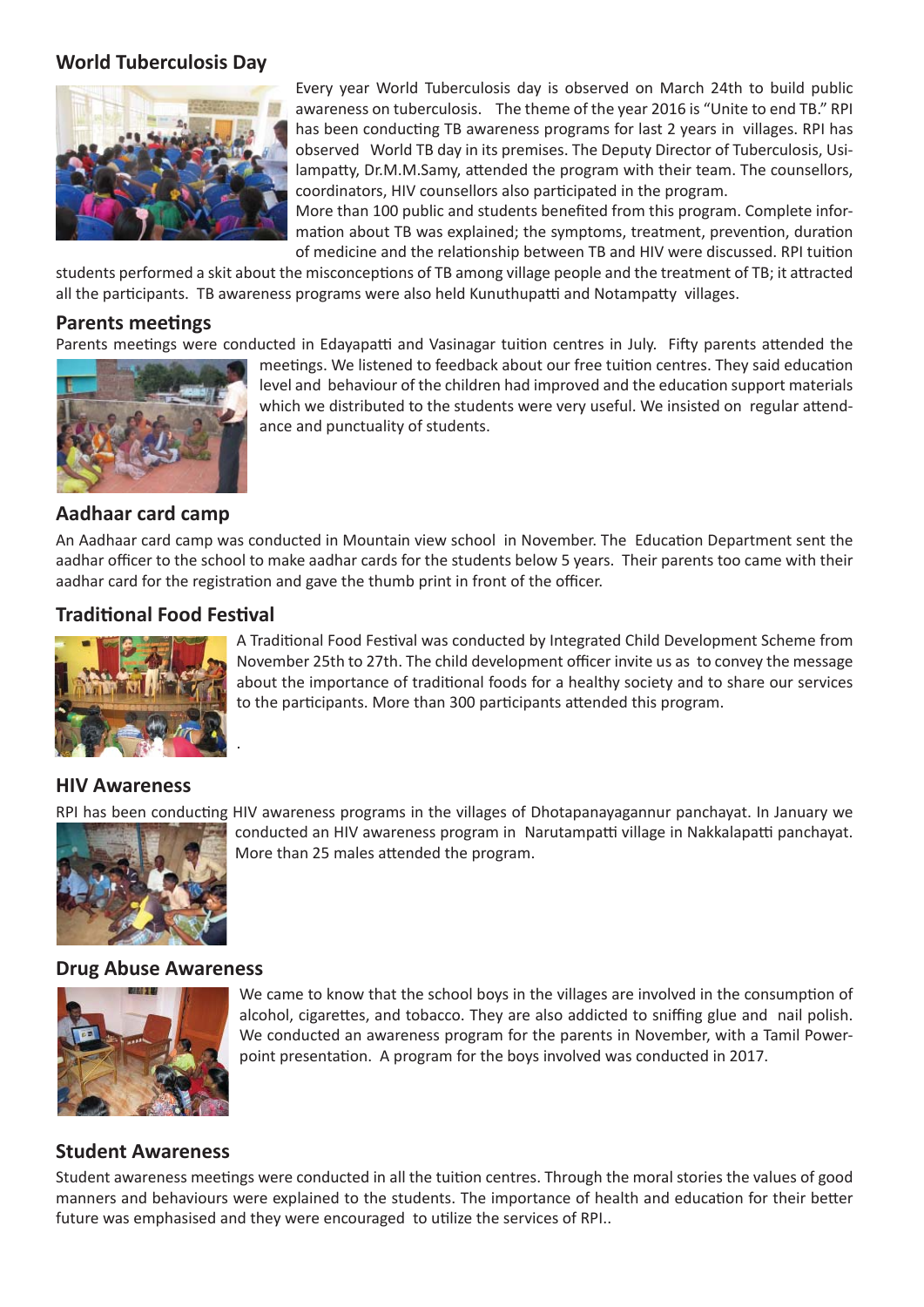## **World Tuberculosis Day**



Every year World Tuberculosis day is observed on March 24th to build public awareness on tuberculosis. The theme of the year 2016 is "Unite to end TB." RPI has been conducting TB awareness programs for last 2 years in villages. RPI has observed World TB day in its premises. The Deputy Director of Tuberculosis, Usilampatty, Dr.M.M.Samy, attended the program with their team. The counsellors, coordinators, HIV counsellors also participated in the program.

More than 100 public and students benefited from this program. Complete information about TB was explained; the symptoms, treatment, prevention, duration of medicine and the relationship between TB and HIV were discussed. RPI tuition

students performed a skit about the misconceptions of TB among village people and the treatment of TB; it attracted all the participants. TB awareness programs were also held Kunuthupatti and Notampatty villages.

#### **Parents meetings**

Parents meetings were conducted in Edayapatti and Vasinagar tuition centres in July. Fifty parents attended the



meetings. We listened to feedback about our free tuition centres. They said education level and behaviour of the children had improved and the education support materials which we distributed to the students were very useful. We insisted on regular attendance and punctuality of students.

#### **Aadhaar card camp**

An Aadhaar card camp was conducted in Mountain view school in November. The Education Department sent the aadhar officer to the school to make aadhar cards for the students below 5 years. Their parents too came with their aadhar card for the registration and gave the thumb print in front of the officer.

#### **Traditional Food Festival**

.



A Traditional Food Festival was conducted by Integrated Child Development Scheme from November 25th to 27th. The child development officer invite us as to convey the message about the importance of traditional foods for a healthy society and to share our services to the participants. More than 300 participants attended this program.

### **HIV Awareness**



RPI has been conducting HIV awareness programs in the villages of Dhotapanayagannur panchayat. In January we conducted an HIV awareness program in Narutampatti village in Nakkalapatti panchayat. More than 25 males attended the program.

#### **Drug Abuse Awareness**



We came to know that the school boys in the villages are involved in the consumption of alcohol, cigarettes, and tobacco. They are also addicted to sniffing glue and nail polish. We conducted an awareness program for the parents in November, with a Tamil Powerpoint presentation. A program for the boys involved was conducted in 2017.

#### **Student Awareness**

Student awareness meetings were conducted in all the tuition centres. Through the moral stories the values of good manners and behaviours were explained to the students. The importance of health and education for their better future was emphasised and they were encouraged to utilize the services of RPI..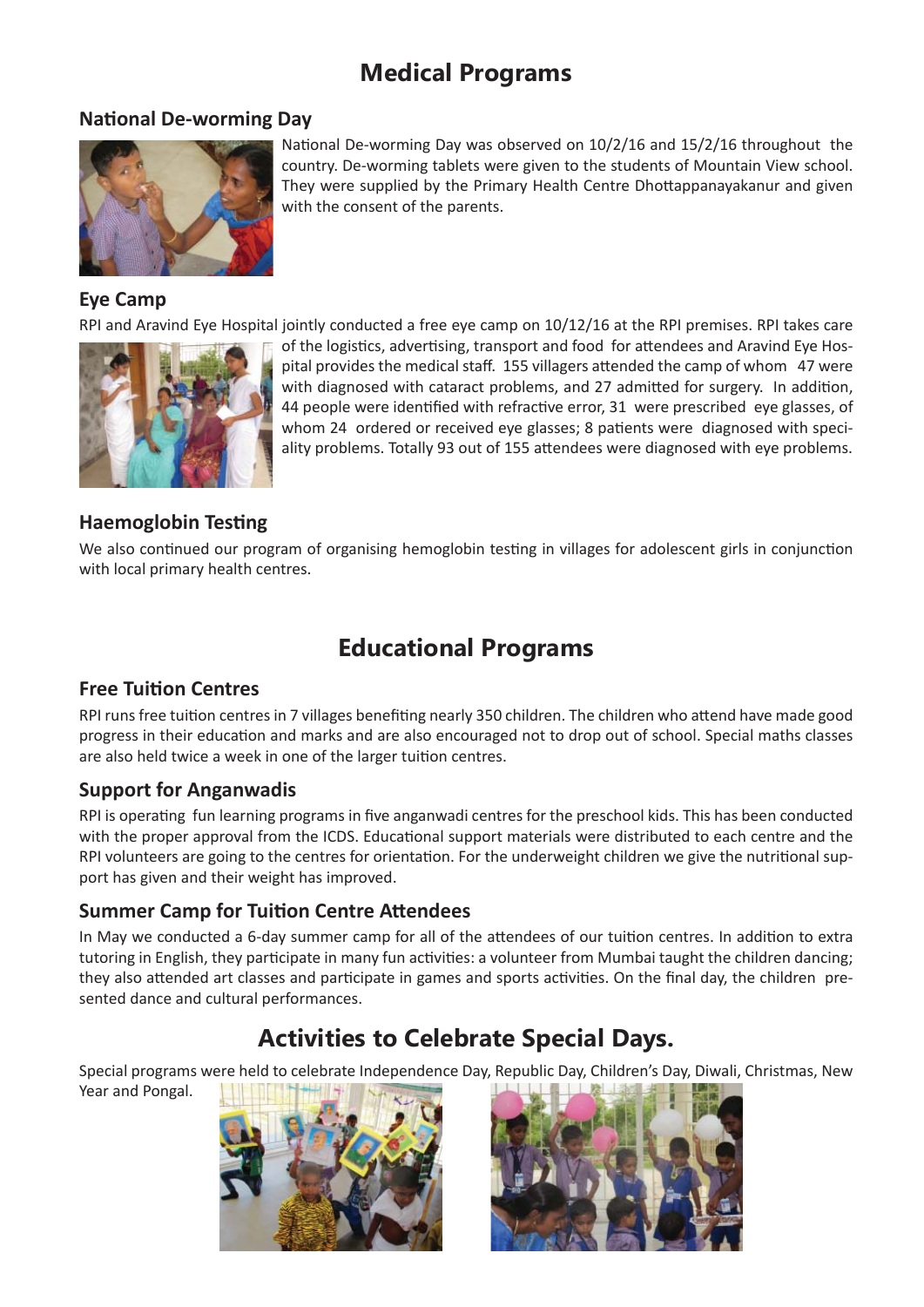# **Medical Programs**

# **National De-worming Day**



## **Eye Camp**

RPI and Aravind Eye Hospital jointly conducted a free eye camp on 10/12/16 at the RPI premises. RPI takes care



of the logistics, advertising, transport and food for attendees and Aravind Eye Hospital provides the medical staff. 155 villagers attended the camp of whom 47 were with diagnosed with cataract problems, and 27 admitted for surgery. In addition, 44 people were identified with refractive error, 31 were prescribed eye glasses, of whom 24 ordered or received eye glasses; 8 patients were diagnosed with speciality problems. Totally 93 out of 155 attendees were diagnosed with eye problems.

# **Haemoglobin Testing**

We also continued our program of organising hemoglobin testing in villages for adolescent girls in conjunction with local primary health centres.

# **Educational Programs**

# **Free Tuition Centres**

RPI runs free tuition centres in 7 villages benefiting nearly 350 children. The children who attend have made good progress in their education and marks and are also encouraged not to drop out of school. Special maths classes are also held twice a week in one of the larger tuition centres.

# **Support for Anganwadis**

RPI is operating fun learning programs in five anganwadi centres for the preschool kids. This has been conducted with the proper approval from the ICDS. Educational support materials were distributed to each centre and the RPI volunteers are going to the centres for orientation. For the underweight children we give the nutritional support has given and their weight has improved.

# **Summer Camp for Tuition Centre Attendees**

In May we conducted a 6-day summer camp for all of the attendees of our tuition centres. In addition to extra tutoring in English, they participate in many fun activities: a volunteer from Mumbai taught the children dancing; they also attended art classes and participate in games and sports activities. On the final day, the children presented dance and cultural performances.

# **Activities to Celebrate Special Days.**

Special programs were held to celebrate Independence Day, Republic Day, Children's Day, Diwali, Christmas, New

Year and Pongal.